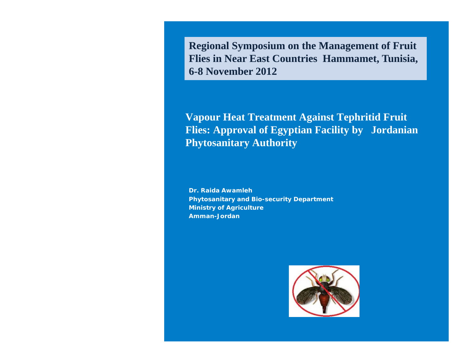**Regional Symposium on the Management of Fruit Flies in Near East Countries Hammamet, Tunisia, 6-8 November 2012**

**Vapour Heat Treatment Against Tephritid Fruit Flies: Approval of Egyptian Facility by Jordanian Phytosanitary Authority**

**Dr. Raida Awamleh Phytosanitary and Bio-security Department Ministry of Agriculture Amman-Jordan** 

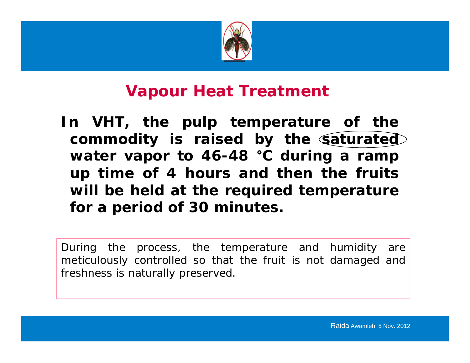

#### **Vapour Heat Treatment**

**In VHT, the pulp temperature of the commodity is raised by the saturated water vapor to 46 -48** ° **C during a ramp up time of 4 hours and then the fruits will be held at the required temperature for <sup>a</sup> peri do d o f 30 mi t nu tes.**

During the process, the temperature and humidity are meticulously controlled so that the fruit is not damaged and freshness is naturally preserved.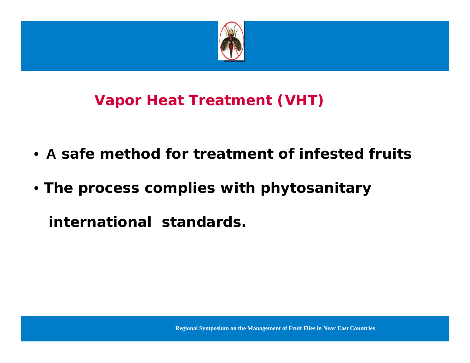

## **Vapor Heat Treatment (VHT)**

- •**A safe method for treatment of infested fruits**
- **The process complies with phytosanitary**

**international standards.**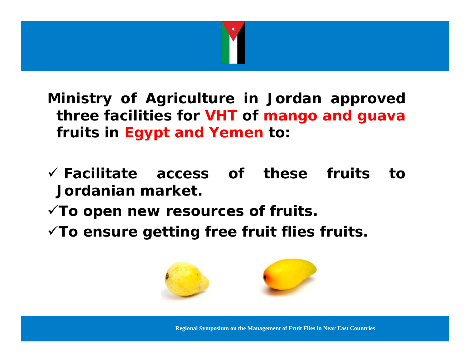

**Ministry of Agriculture in Jordan approved three facilities for VHT of mango and guava fruits in Egypt and Yemen to:**

- **Facilitate access of these fruits to Jordanian market.**
- **To open new resources <sup>o</sup> f fruits.**
- **To ensure getting free fruit flies fruits.**



**Regional Symposium on the Management of Fruit Flies in Near East Countries**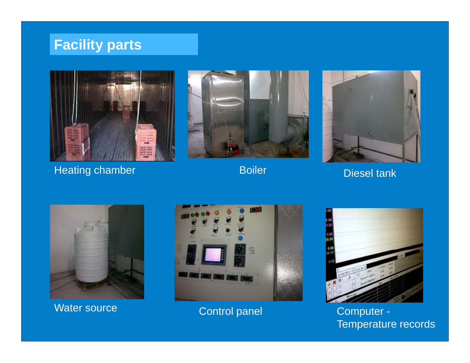#### **Facility parts**



Heating chamber Boiler





Diesel tank



Water source





IPPC WG E-certification - XML NL | Jun 8th 2011 Temperature records Control panel Computer -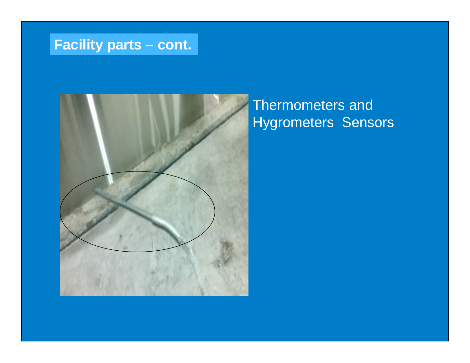### **Facility parts – cont.**



### Thermometers and Hygrometers Sensors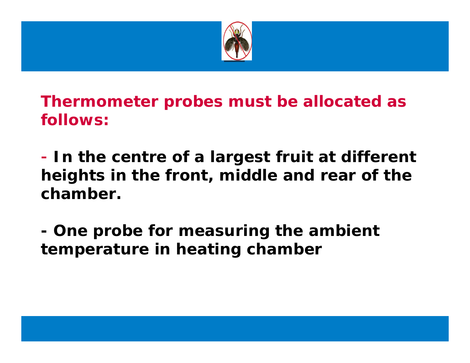

**Thermometer probes must be allocated as follows:**

 **In the centre of a largest fruit at different heights in the front, middle and rear of the chamber.** 

 **One probe for measuring the ambient temperature in heating chamber**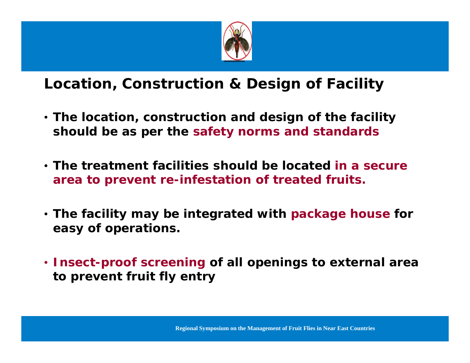

#### **Location, Construction & Design of Facility**

- $\bullet$  The location, construction and design of the facility **should be as per the safety norms and standards**
- **The treatment facilities should be located in a secure area to prevent re-infestation of treated fruits.**
- **The facility may be integrated with package house for easy of operations.**
- **Insect-proof screening of all openings to external area to prevent fruit fly entry**

**Regional Symposium on the Management of Fruit Flies in Near East Countries**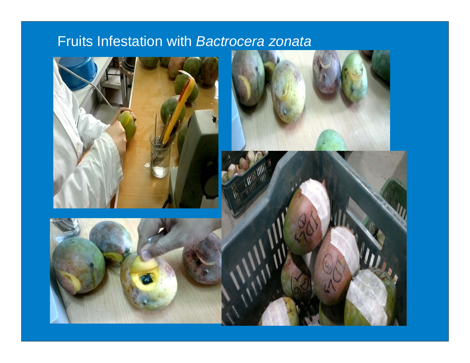### Fruits Infestation with *Bactrocera zonata*





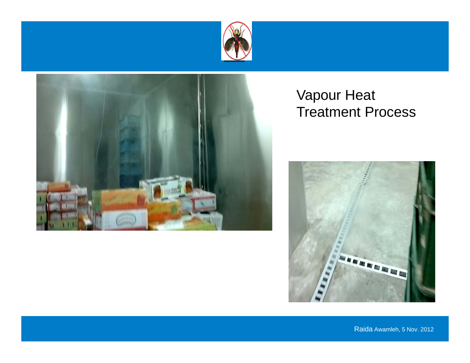



#### Vapour Heat Treatment Process

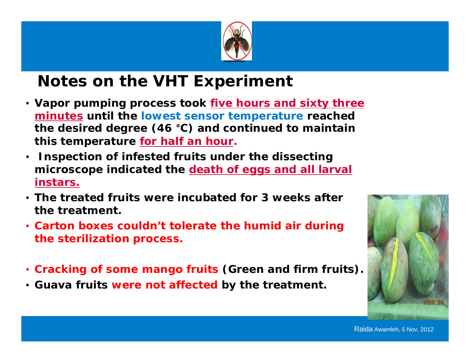

# **Notes on the VHT Experiment**

- **Vapor pumping process took five hours and sixty three <u>minutes</u> until the lowest sensor temperature reached the desired degree (46**  °**C) and continued to maintain this temperature for half an hour.**
- • **Inspection of infested fruits under the dissecting microscope indicated the death of eggs and all larval instars.**
- **The treated fruits were incubated for 3 weeks after the treatment.**
- **Carton boxes couldn't tolerate the humid air during the sterilization process.**
- **Cracking of some mango fruits (Green and firm fruits).**
- **Guava fruits were not affected by the treatment.**

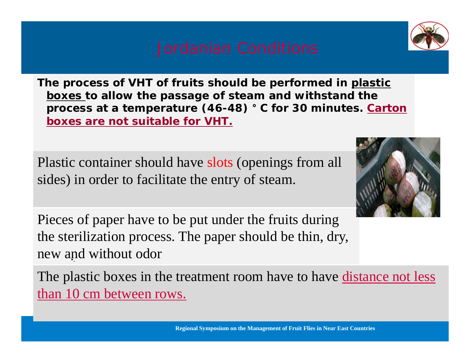**The process of VHT of fruits should be performed in plastic boxes to allow the passage of steam and withstand the process at a temperature (46-48) ° C for 30 minutes. Carton boxes are not suitable for VHT.** 

Plastic container should have slots (openings from all sides) in order to facilitate the entry of steam.

Pieces of paper have to be put under the fruits during the sterilization process. The paper should be thin, dry, new and without odor

The plastic boxes in the treatment room have to have <u>distance not less</u> than  $10 \text{ cm}$  between rows.

**Regional Symposium on the Management of Fruit Flies in Near East Countries**



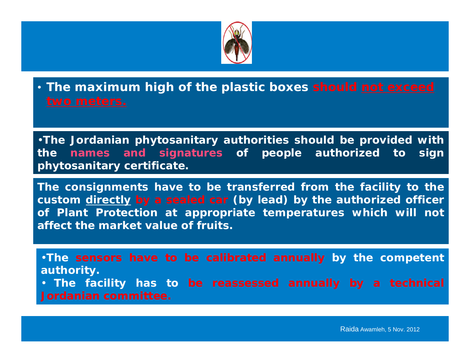

• **The maximum high of the plastic boxes should not exceed** 

•**The Jordanian phytosanitary authorities should be provided with the names and signatures of people authorized to sign phytosanitary certificate.** 

**The consignments have to be transferred from the facility to the custom directly by a sealed car (by lead) by the authorized officer of Plant Protection at appropriate temperatures which will not affect the market value of fruits.** 

•**The sensors have to be calibrated annually by the competent authority.** • **The facility has to be reassessed annually by a technical Jordanian committee.**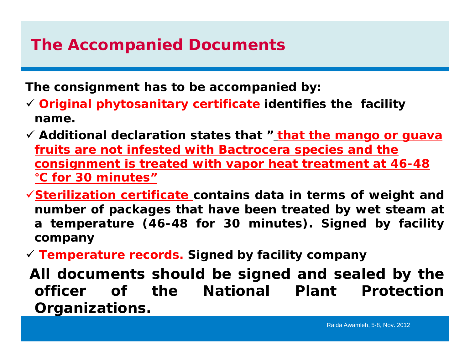# **The Accompanied Documents**

**The consignment has to be accompanied by:** 

- **Original phytosanitary certificate identifies the facility name.**
- **Additional declaration states that " that the mango or guava fruits are not infested with** *Bactrocera* **species and the consignment is treated with vapor heat treatment at 46-48**  °**C for 30 minutes"**
- **Sterilization certificate contains data in terms of weight and number o f packages that have been treated by wet steam at <sup>a</sup> temperature (46-48 for 30 minutes). Signed by facility company**
- **Temperature records. Signed by facility company**
- **All documents should be signed and sealed by the officer of the National Plant ProtectionOrganizations.**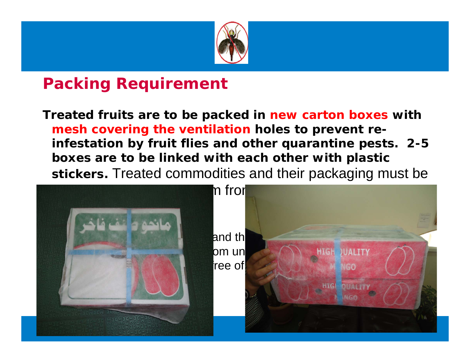

# **Packing Requirement**

**Treated fruits are to be packed in new carton boxes with mesh covering the ventilation holes to prevent reinfestation by fruit flies and other quarantine pests. 2-5 boxes are to be linked with each other with plastic stickers.** Treated commodities and their packaging must be

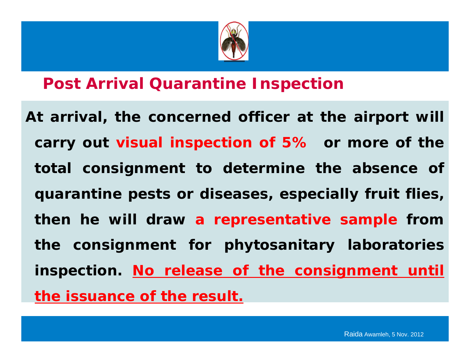

### **Post Arrival Quarantine Inspection**

**At arri l va , the concerne d officer a t the ai t rpor will carry out visual inspection of 5% or more of the total consignment to determine the absence of quarantine pests or diseases, especially fruit flies, then he will draw <sup>a</sup> representative sample from the consignment for phytosanitary laboratories inspection. No release of the consignment until the issuance of the result.**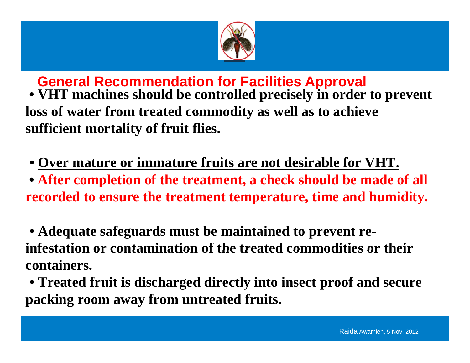

**General Recommendation for Facilities Approval** 

**• VHT machines should be controlled precisely in order to prevent loss of water from treated commodity as well as to achieve treated sufficient mortality of fruit flies.** 

 $\bullet$  Over mature or immature fruits are not desirable for VHT.

**• After completion of the treatment, a check should be made of all**  recorded to ensure the treatment temperature, time and humidity.

**• Adequate safeguards must be maintained to prevent reinfestation or contamination of the treated commodities or theircontainers.** 

**• Treated fruit is discharged directly into insect proof and secure packi f t t d f it king room away from un trea e fruits.**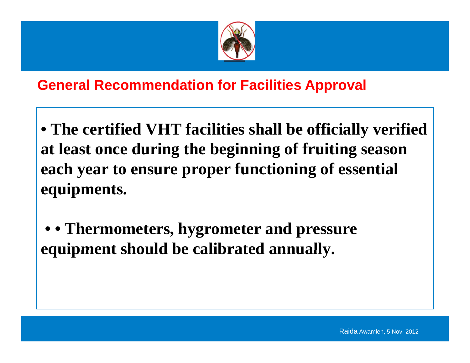

#### **General Recommendation for Facilities Approval**

**• The certified VHT facilities shall be officially verified at least once during the beginning of fruiting season each year to ensure proper functioning of essential equipments.** 

**• • Thermometers, hygrometer and pressure equipment should be calibrated annually annually.**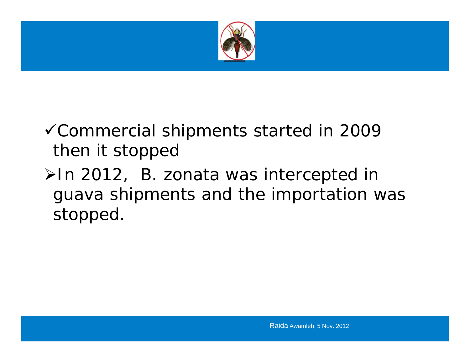

# Commercial shipments started in 2009 then it stopped

# In 2012, *B. zonata* was intercepted in guava shipments and the importation was stopped.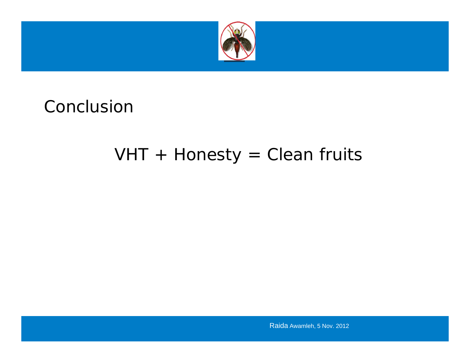

# Conclusion

# $VHT + Honesty = Clean$  fruits